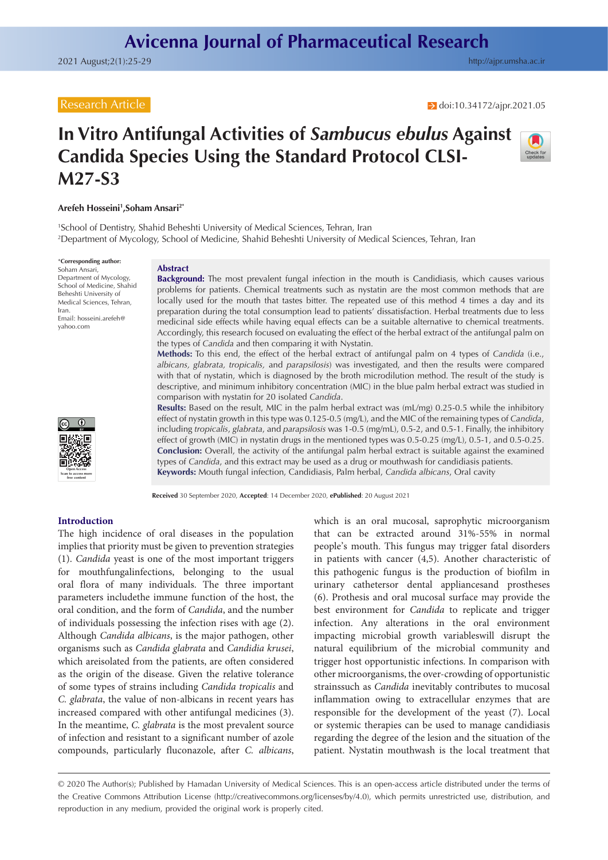## Research Article

 $\rightarrow$  doi[:10.34172/ajpr.2021.05](https://doi.org/10.34172/ajpr.2021.05)

# **In Vitro Antifungal Activities of** *Sambucus ebulus* **Against Candida Species Using the Standard Protocol CLSI-M27-S3**



1 School of Dentistry, Shahid Beheshti University of Medical Sciences, Tehran, Iran 2 Department of Mycology, School of Medicine, Shahid Beheshti University of Medical Sciences, Tehran, Iran

\***Corresponding author:** Soham Ansari, Department of Mycology, School of Medicine, Shahid Beheshti University of Medical Sciences, Tehran, Iran. Email: hosseini.arefeh@ yahoo.com

#### **Abstract**

**Background:** The most prevalent fungal infection in the mouth is Candidiasis, which causes various problems for patients. Chemical treatments such as nystatin are the most common methods that are locally used for the mouth that tastes bitter. The repeated use of this method 4 times a day and its preparation during the total consumption lead to patients' dissatisfaction. Herbal treatments due to less medicinal side effects while having equal effects can be a suitable alternative to chemical treatments. Accordingly, this research focused on evaluating the effect of the herbal extract of the antifungal palm on the types of *Candida* and then comparing it with Nystatin.

**Methods:** To this end, the effect of the herbal extract of antifungal palm on 4 types of *Candida* (i.e., *albicans, glabrata, tropicalis,* and *parapsilosis*) was investigated, and then the results were compared with that of nystatin, which is diagnosed by the broth microdilution method. The result of the study is descriptive, and minimum inhibitory concentration (MIC) in the blue palm herbal extract was studied in comparison with nystatin for 20 isolated *Candida*.

**Results:** Based on the result, MIC in the palm herbal extract was (mL/mg) 0.25-0.5 while the inhibitory effect of nystatin growth in this type was 0.125-0.5 (mg/L), and the MIC of the remaining types of *Candida*, including *tropicalis*, *glabrata*, and *parapsilosis* was 1-0.5 (mg/mL), 0.5-2, and 0.5-1. Finally, the inhibitory effect of growth (MIC) in nystatin drugs in the mentioned types was 0.5-0.25 (mg/L), 0.5-1, and 0.5-0.25. **Conclusion:** Overall, the activity of the antifungal palm herbal extract is suitable against the examined types of *Candida*, and this extract may be used as a drug or mouthwash for candidiasis patients. **Keywords:** Mouth fungal infection, Candidiasis, Palm herbal, *Candida albicans*, Oral cavity

**Received** 30 September 2020, **Accepted**: 14 December 2020, **ePublished**: 20 August 2021

#### **Introduction**

**Open Access Scan to access more free content**

The high incidence of oral diseases in the population implies that priority must be given to prevention strategies (1). *Candida* yeast is one of the most important triggers for mouthfungalinfections, belonging to the usual oral flora of many individuals. The three important parameters includethe immune function of the host, the oral condition, and the form of *Candida*, and the number of individuals possessing the infection rises with age (2). Although *Candida albicans*, is the major pathogen, other organisms such as *Candida glabrata* and *Candidia krusei*, which areisolated from the patients, are often considered as the origin of the disease. Given the relative tolerance of some types of strains including *Candida tropicalis* and *C. glabrata*, the value of non-albicans in recent years has increased compared with other antifungal medicines (3). In the meantime, *C. glabrata* is the most prevalent source of infection and resistant to a significant number of azole compounds, particularly fluconazole, after *C. albicans*,

which is an oral mucosal, saprophytic microorganism that can be extracted around 31%-55% in normal people's mouth. This fungus may trigger fatal disorders in patients with cancer (4,5). Another characteristic of this pathogenic fungus is the production of biofilm in urinary cathetersor dental appliancesand prostheses (6). Prothesis and oral mucosal surface may provide the best environment for *Candida* to replicate and trigger infection. Any alterations in the oral environment impacting microbial growth variableswill disrupt the natural equilibrium of the microbial community and trigger host opportunistic infections. In comparison with other microorganisms, the over-crowding of opportunistic strainssuch as *Candida* inevitably contributes to mucosal inflammation owing to extracellular enzymes that are responsible for the development of the yeast (7). Local or systemic therapies can be used to manage candidiasis regarding the degree of the lesion and the situation of the patient. Nystatin mouthwash is the local treatment that

<sup>© 2020</sup> The Author(s); Published by Hamadan University of Medical Sciences. This is an open-access article distributed under the terms of the Creative Commons Attribution License [\(http://creativecommons.org/licenses/by/4.0](http://creativecommons.org/licenses/by/4.0)), which permits unrestricted use, distribution, and reproduction in any medium, provided the original work is properly cited.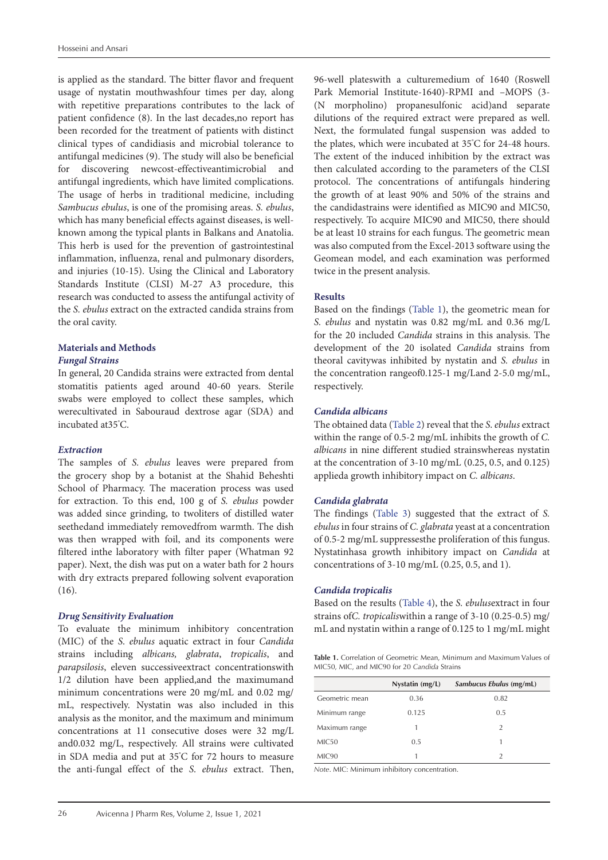is applied as the standard. The bitter flavor and frequent usage of nystatin mouthwashfour times per day, along with repetitive preparations contributes to the lack of patient confidence (8). In the last decades,no report has been recorded for the treatment of patients with distinct clinical types of candidiasis and microbial tolerance to antifungal medicines (9). The study will also be beneficial for discovering newcost-effectiveantimicrobial and antifungal ingredients, which have limited complications. The usage of herbs in traditional medicine, including *Sambucus ebulus*, is one of the promising areas. *S. ebulus*, which has many beneficial effects against diseases, is wellknown among the typical plants in Balkans and Anatolia. This herb is used for the prevention of gastrointestinal inflammation, influenza, renal and pulmonary disorders, and injuries (10-15). Using the Clinical and Laboratory Standards Institute (CLSI) M-27 A3 procedure, this research was conducted to assess the antifungal activity of the *S. ebulus* extract on the extracted candida strains from the oral cavity.

# **Materials and Methods**

## *Fungal Strains*

In general, 20 Candida strains were extracted from dental stomatitis patients aged around 40-60 years. Sterile swabs were employed to collect these samples, which werecultivated in Sabouraud dextrose agar (SDA) and incubated at35° C.

#### *Extraction*

The samples of *S. ebulus* leaves were prepared from the grocery shop by a botanist at the Shahid Beheshti School of Pharmacy. The maceration process was used for extraction. To this end, 100 g of *S. ebulus* powder was added since grinding, to twoliters of distilled water seethedand immediately removedfrom warmth. The dish was then wrapped with foil, and its components were filtered inthe laboratory with filter paper (Whatman 92 paper). Next, the dish was put on a water bath for 2 hours with dry extracts prepared following solvent evaporation (16).

## *Drug Sensitivity Evaluation*

To evaluate the minimum inhibitory concentration (MIC) of the *S*. *ebulus* aquatic extract in four *Candida* strains including *albicans, glabrata*, *tropicalis*, and *parapsilosis*, eleven successiveextract concentrationswith 1/2 dilution have been applied,and the maximumand minimum concentrations were 20 mg/mL and 0.02 mg/ mL, respectively. Nystatin was also included in this analysis as the monitor, and the maximum and minimum concentrations at 11 consecutive doses were 32 mg/L and0.032 mg/L, respectively. All strains were cultivated in SDA media and put at 35° C for 72 hours to measure the anti-fungal effect of the *S*. *ebulus* extract. Then, 96-well plateswith a culturemedium of 1640 (Roswell Park Memorial Institute-1640)-RPMI and –MOPS (3- (N morpholino) propanesulfonic acid)and separate dilutions of the required extract were prepared as well. Next, the formulated fungal suspension was added to the plates, which were incubated at 35° C for 24-48 hours. The extent of the induced inhibition by the extract was then calculated according to the parameters of the CLSI protocol. The concentrations of antifungals hindering the growth of at least 90% and 50% of the strains and the candidastrains were identified as MIC90 and MIC50, respectively. To acquire MIC90 and MIC50, there should be at least 10 strains for each fungus. The geometric mean was also computed from the Excel-2013 software using the Geomean model, and each examination was performed twice in the present analysis.

## **Results**

Based on the findings ([Table 1](#page-1-0)), the geometric mean for *S. ebulus* and nystatin was 0.82 mg/mL and 0.36 mg/L for the 20 included *Candida* strains in this analysis. The development of the 20 isolated *Candida* strains from theoral cavitywas inhibited by nystatin and *S. ebulus* in the concentration rangeof0.125-1 mg/Land 2-5.0 mg/mL, respectively.

## *Candida albicans*

The obtained data [\(Table 2](#page-2-0)) reveal that the *S*. *ebulus* extract within the range of 0.5-2 mg/mL inhibits the growth of *C. albicans* in nine different studied strainswhereas nystatin at the concentration of 3-10 mg/mL (0.25, 0.5, and 0.125) applieda growth inhibitory impact on *C. albicans*.

## *Candida glabrata*

The findings [\(Table 3](#page-2-1)) suggested that the extract of *S. ebulus* in four strains of *C. glabrata* yeast at a concentration of 0.5-2 mg/mL suppressesthe proliferation of this fungus. Nystatinhasa growth inhibitory impact on *Candida* at concentrations of 3-10 mg/mL (0.25, 0.5, and 1).

#### *Candida tropicalis*

Based on the results [\(Table 4\)](#page-2-2), the *S. ebulus*extract in four strains of*C. tropicalis*within a range of 3-10 (0.25-0.5) mg/ mL and nystatin within a range of 0.125 to 1 mg/mL might

<span id="page-1-0"></span>**Table 1.** Correlation of Geometric Mean, Minimum and Maximum Values of MIC50, MIC, and MIC90 for 20 *Candida* Strains

|                   | Nystatin (mg/L) | Sambucus Ebulus (mg/mL) |
|-------------------|-----------------|-------------------------|
| Geometric mean    | 0.36            | 0.82                    |
| Minimum range     | 0.125           | 0.5                     |
| Maximum range     |                 | 2                       |
| MIC50             | 0.5             |                         |
| MIC <sub>90</sub> |                 | $\mathfrak{D}$          |

*Note*. MIC: Minimum inhibitory concentration.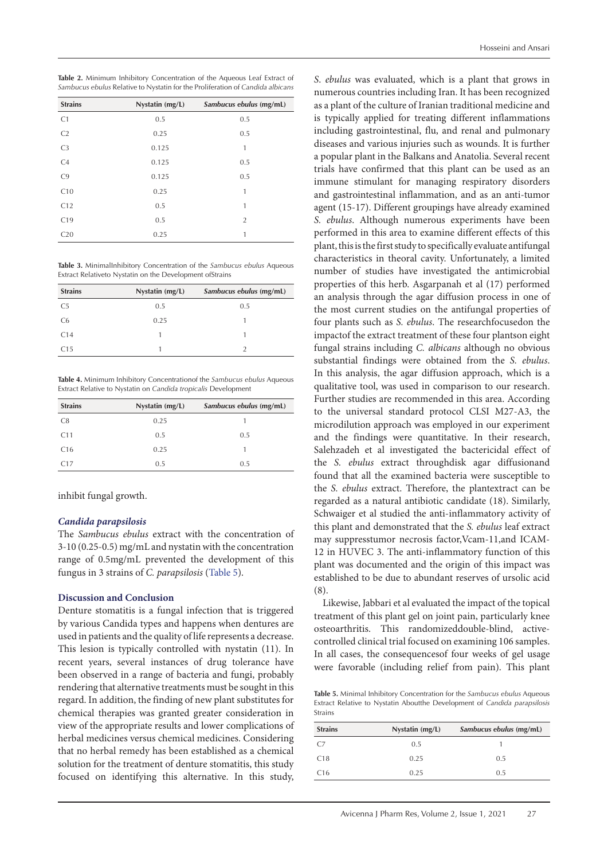| Hosseini and Ansari |  |  |
|---------------------|--|--|
|---------------------|--|--|

<span id="page-2-0"></span>

| Table 2. Minimum Inhibitory Concentration of the Aqueous Leaf Extract of       |  |
|--------------------------------------------------------------------------------|--|
| Sambucus ebulus Relative to Nystatin for the Proliferation of Candida albicans |  |

| <b>Strains</b> | Nystatin (mg/L) | Sambucus ebulus (mg/mL) |
|----------------|-----------------|-------------------------|
| C1             | 0.5             | 0.5                     |
| C <sub>2</sub> | 0.25            | 0.5                     |
| C <sub>3</sub> | 0.125           | 1                       |
| C4             | 0.125           | 0.5                     |
| C9             | 0.125           | 0.5                     |
| C10            | 0.25            | 1                       |
| C12            | 0.5             | 1                       |
| C19            | 0.5             | $\overline{2}$          |
| C20            | 0.25            | 1                       |

<span id="page-2-1"></span>**Table 3.** MinimalInhibitory Concentration of the *Sambucus ebulus* Aqueous Extract Relativeto Nystatin on the Development ofStrains

| <b>Strains</b> | Nystatin (mg/L) | Sambucus ebulus (mg/mL) |
|----------------|-----------------|-------------------------|
| C <sub>5</sub> | 0.5             | 0.5                     |
| C <sub>6</sub> | 0.25            |                         |
| C14            |                 |                         |
| C15            |                 |                         |

<span id="page-2-2"></span>**Table 4.** Minimum Inhibitory Concentrationof the *Sambucus ebulus* Aqueous Extract Relative to Nystatin on *Candida tropicalis* Development

| <b>Strains</b>  | Nystatin (mg/L) | Sambucus ebulus (mg/mL) |
|-----------------|-----------------|-------------------------|
| C <sub>8</sub>  | 0.25            |                         |
| C11             | 0.5             | 0.5                     |
| C <sub>16</sub> | 0.25            |                         |
| C17             | 0.5             | 0.5                     |

inhibit fungal growth.

## *Candida parapsilosis*

The *Sambucus ebulus* extract with the concentration of 3-10 (0.25-0.5) mg/mL and nystatin with the concentration range of 0.5mg/mL prevented the development of this fungus in 3 strains of *C. parapsilosis* ([Table 5\)](#page-2-3).

#### **Discussion and Conclusion**

Denture stomatitis is a fungal infection that is triggered by various Candida types and happens when dentures are used in patients and the quality of life represents a decrease. This lesion is typically controlled with nystatin (11). In recent years, several instances of drug tolerance have been observed in a range of bacteria and fungi, probably rendering that alternative treatments must be sought in this regard. In addition, the finding of new plant substitutes for chemical therapies was granted greater consideration in view of the appropriate results and lower complications of herbal medicines versus chemical medicines. Considering that no herbal remedy has been established as a chemical solution for the treatment of denture stomatitis, this study focused on identifying this alternative. In this study,

*S*. *ebulus* was evaluated, which is a plant that grows in numerous countries including Iran. It has been recognized as a plant of the culture of Iranian traditional medicine and is typically applied for treating different inflammations including gastrointestinal, flu, and renal and pulmonary diseases and various injuries such as wounds. It is further a popular plant in the Balkans and Anatolia. Several recent trials have confirmed that this plant can be used as an immune stimulant for managing respiratory disorders and gastrointestinal inflammation, and as an anti-tumor agent (15-17). Different groupings have already examined *S. ebulus*. Although numerous experiments have been performed in this area to examine different effects of this plant, this is the first study to specifically evaluate antifungal characteristics in theoral cavity. Unfortunately, a limited number of studies have investigated the antimicrobial properties of this herb. Asgarpanah et al (17) performed an analysis through the agar diffusion process in one of the most current studies on the antifungal properties of four plants such as *S. ebulus*. The researchfocusedon the impactof the extract treatment of these four plantson eight fungal strains including *C. albicans* although no obvious substantial findings were obtained from the *S. ebulus*. In this analysis, the agar diffusion approach, which is a qualitative tool, was used in comparison to our research. Further studies are recommended in this area. According to the universal standard protocol CLSI M27-A3, the microdilution approach was employed in our experiment and the findings were quantitative. In their research, Salehzadeh et al investigated the bactericidal effect of the *S. ebulus* extract throughdisk agar diffusionand found that all the examined bacteria were susceptible to the *S. ebulus* extract. Therefore, the plantextract can be regarded as a natural antibiotic candidate (18). Similarly, Schwaiger et al studied the anti-inflammatory activity of this plant and demonstrated that the *S. ebulus* leaf extract may suppresstumor necrosis factor,Vcam-11,and ICAM-12 in HUVEC 3. The anti-inflammatory function of this plant was documented and the origin of this impact was established to be due to abundant reserves of ursolic acid (8).

Likewise, Jabbari et al evaluated the impact of the topical treatment of this plant gel on joint pain, particularly knee osteoarthritis. This randomizeddouble-blind, activecontrolled clinical trial focused on examining 106 samples. In all cases, the consequencesof four weeks of gel usage were favorable (including relief from pain). This plant

<span id="page-2-3"></span>**Table 5.** Minimal Inhibitory Concentration for the *Sambucus ebulus* Aqueous Extract Relative to Nystatin Aboutthe Development of *Candida parapsilosis* Strains

| <b>Strains</b>  | Nystatin (mg/L) | Sambucus ebulus (mg/mL) |
|-----------------|-----------------|-------------------------|
| C.7             | 0.5             |                         |
| C <sub>18</sub> | 0.25            | 0.5                     |
| C <sub>16</sub> | 0.25            | 0.5                     |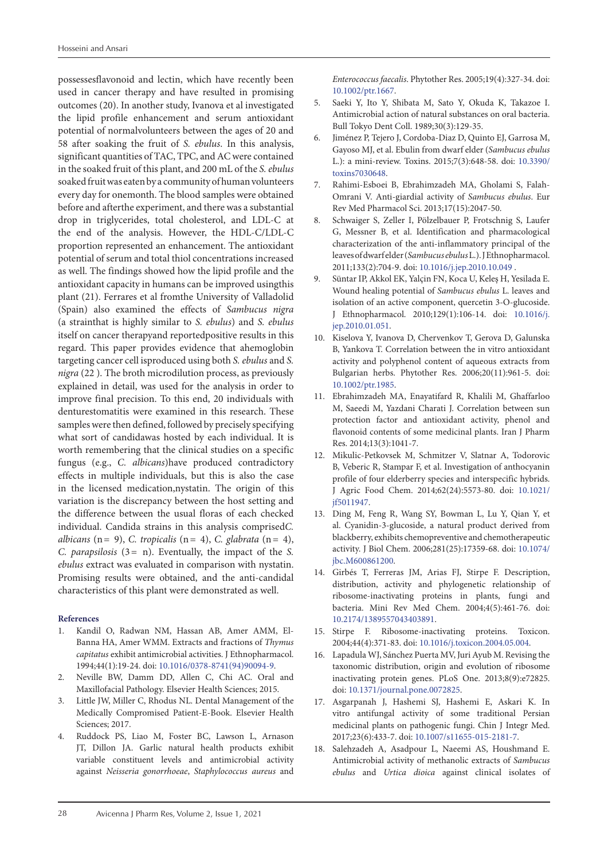possessesflavonoid and lectin, which have recently been used in cancer therapy and have resulted in promising outcomes (20). In another study, Ivanova et al investigated the lipid profile enhancement and serum antioxidant potential of normalvolunteers between the ages of 20 and 58 after soaking the fruit of *S. ebulus*. In this analysis, significant quantities of TAC, TPC, and AC were contained in the soaked fruit of this plant, and 200 mL of the *S. ebulus* soaked fruit was eaten by a community of human volunteers every day for onemonth. The blood samples were obtained before and afterthe experiment, and there was a substantial drop in triglycerides, total cholesterol, and LDL-C at the end of the analysis. However, the HDL-C/LDL-C proportion represented an enhancement. The antioxidant potential of serum and total thiol concentrations increased as well. The findings showed how the lipid profile and the antioxidant capacity in humans can be improved usingthis plant (21). Ferrares et al fromthe University of Valladolid (Spain) also examined the effects of *Sambucus nigra* (a strainthat is highly similar to *S. ebulus*) and *S. ebulus* itself on cancer therapyand reportedpositive results in this regard. This paper provides evidence that ahemoglobin targeting cancer cell isproduced using both *S. ebulus* and *S. nigra* (22 ). The broth microdilution process, as previously explained in detail, was used for the analysis in order to improve final precision. To this end, 20 individuals with denturestomatitis were examined in this research. These samples were then defined, followed by precisely specifying what sort of candidawas hosted by each individual. It is worth remembering that the clinical studies on a specific fungus (e.g., *C. albicans*)have produced contradictory effects in multiple individuals, but this is also the case in the licensed medication,nystatin. The origin of this variation is the discrepancy between the host setting and the difference between the usual floras of each checked individual. Candida strains in this analysis comprised*C. albicans* (n= 9), *C. tropicalis* (n= 4), *C. glabrata* (n= 4), *C. parapsilosis* (3= n). Eventually, the impact of the *S. ebulus* extract was evaluated in comparison with nystatin. Promising results were obtained, and the anti-candidal characteristics of this plant were demonstrated as well.

#### **References**

- 1. Kandil O, Radwan NM, Hassan AB, Amer AMM, El-Banna HA, Amer WMM. Extracts and fractions of *Thymus capitatus* exhibit antimicrobial activities. J Ethnopharmacol. 1994;44(1):19-24. doi: [10.1016/0378-8741\(94\)90094-9](https://doi.org/10.1016/0378-8741(94)90094-9).
- 2. Neville BW, Damm DD, Allen C, Chi AC. Oral and Maxillofacial Pathology. Elsevier Health Sciences; 2015.
- 3. Little JW, Miller C, Rhodus NL. Dental Management of the Medically Compromised Patient-E-Book. Elsevier Health Sciences; 2017.
- 4. Ruddock PS, Liao M, Foster BC, Lawson L, Arnason JT, Dillon JA. Garlic natural health products exhibit variable constituent levels and antimicrobial activity against *Neisseria gonorrhoeae*, *Staphylococcus aureus* and

*Enterococcus faecalis*. Phytother Res. 2005;19(4):327-34. doi: [10.1002/ptr.1667](https://doi.org/10.1002/ptr.1667).

- 5. Saeki Y, Ito Y, Shibata M, Sato Y, Okuda K, Takazoe I. Antimicrobial action of natural substances on oral bacteria. Bull Tokyo Dent Coll. 1989;30(3):129-35.
- 6. Jiménez P, Tejero J, Cordoba-Diaz D, Quinto EJ, Garrosa M, Gayoso MJ, et al. Ebulin from dwarf elder (*Sambucus ebulus* L.): a mini-review. Toxins. 2015;7(3):648-58. doi: [10.3390/](https://doi.org/10.3390/toxins7030648) [toxins7030648.](https://doi.org/10.3390/toxins7030648)
- 7. Rahimi-Esboei B, Ebrahimzadeh MA, Gholami S, Falah-Omrani V. Anti-giardial activity of *Sambucus ebulus*. Eur Rev Med Pharmacol Sci. 2013;17(15):2047-50.
- 8. Schwaiger S, Zeller I, Pölzelbauer P, Frotschnig S, Laufer G, Messner B, et al. Identification and pharmacological characterization of the anti-inflammatory principal of the leaves of dwarf elder (*Sambucus ebulus* L.). J Ethnopharmacol. 2011;133(2):704-9. doi: [10.1016/j.jep.2010.10.049](https://doi.org/10.1016/j.jep.2010.10.049) .
- 9. Süntar IP, Akkol EK, Yalçin FN, Koca U, Keleş H, Yesilada E. Wound healing potential of *Sambucus ebulus* L. leaves and isolation of an active component, quercetin 3-O-glucoside. J Ethnopharmacol. 2010;129(1):106-14. doi: [10.1016/j.](https://doi.org/10.1016/j.jep.2010.01.051) [jep.2010.01.051](https://doi.org/10.1016/j.jep.2010.01.051).
- 10. Kiselova Y, Ivanova D, Chervenkov T, Gerova D, Galunska B, Yankova T. Correlation between the in vitro antioxidant activity and polyphenol content of aqueous extracts from Bulgarian herbs. Phytother Res. 2006;20(11):961-5. doi: [10.1002/ptr.1985](https://doi.org/10.1002/ptr.1985).
- 11. Ebrahimzadeh MA, Enayatifard R, Khalili M, Ghaffarloo M, Saeedi M, Yazdani Charati J. Correlation between sun protection factor and antioxidant activity, phenol and flavonoid contents of some medicinal plants. Iran J Pharm Res. 2014;13(3):1041-7.
- 12. Mikulic-Petkovsek M, Schmitzer V, Slatnar A, Todorovic B, Veberic R, Stampar F, et al. Investigation of anthocyanin profile of four elderberry species and interspecific hybrids. J Agric Food Chem. 2014;62(24):5573-80. doi: [10.1021/](https://doi.org/10.1021/jf5011947) [jf5011947.](https://doi.org/10.1021/jf5011947)
- 13. Ding M, Feng R, Wang SY, Bowman L, Lu Y, Qian Y, et al. Cyanidin-3-glucoside, a natural product derived from blackberry, exhibits chemopreventive and chemotherapeutic activity. J Biol Chem. 2006;281(25):17359-68. doi: [10.1074/](https://doi.org/10.1074/jbc.M600861200) [jbc.M600861200](https://doi.org/10.1074/jbc.M600861200).
- 14. Girbés T, Ferreras JM, Arias FJ, Stirpe F. Description, distribution, activity and phylogenetic relationship of ribosome-inactivating proteins in plants, fungi and bacteria. Mini Rev Med Chem. 2004;4(5):461-76. doi: [10.2174/1389557043403891.](https://doi.org/10.2174/1389557043403891)
- 15. Stirpe F. Ribosome-inactivating proteins. Toxicon. 2004;44(4):371-83. doi: [10.1016/j.toxicon.2004.05.004](https://doi.org/10.1016/j.toxicon.2004.05.004).
- 16. Lapadula WJ, Sánchez Puerta MV, Juri Ayub M. Revising the taxonomic distribution, origin and evolution of ribosome inactivating protein genes. PLoS One. 2013;8(9):e72825. doi: [10.1371/journal.pone.0072825.](https://doi.org/10.1371/journal.pone.0072825)
- 17. Asgarpanah J, Hashemi SJ, Hashemi E, Askari K. In vitro antifungal activity of some traditional Persian medicinal plants on pathogenic fungi. Chin J Integr Med. 2017;23(6):433-7. doi: [10.1007/s11655-015-2181-7](https://doi.org/10.1007/s11655-015-2181-7).
- 18. Salehzadeh A, Asadpour L, Naeemi AS, Houshmand E. Antimicrobial activity of methanolic extracts of *Sambucus ebulus* and *Urtica dioica* against clinical isolates of